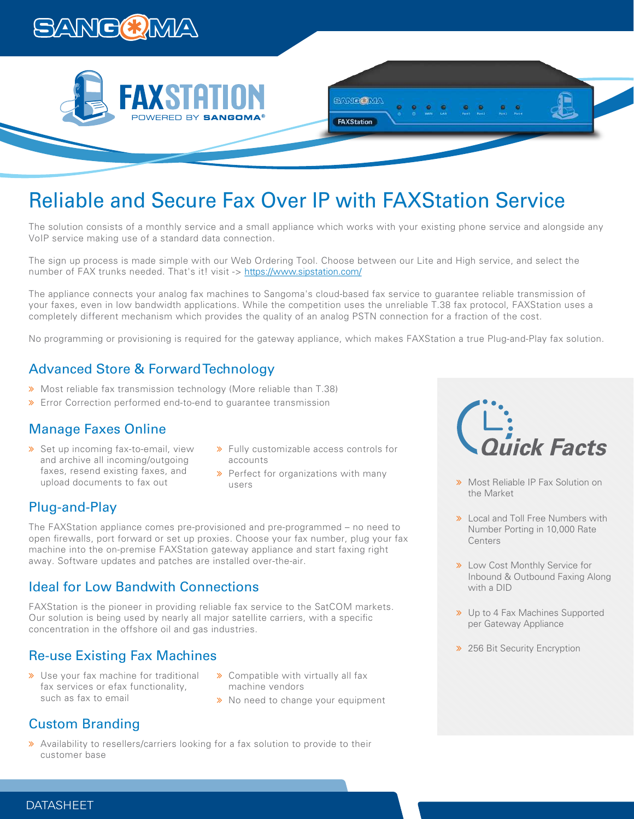





The solution consists of a monthly service and a small appliance which works with your existing phone service and alongside any VoIP service making use of a standard data connection.

**EANGOMA** 

FAXStation

The sign up process is made simple with our Web Ordering Tool. Choose between our Lite and High service, and select the number of FAX trunks needed. That's it! visit -> https://www.sipstation.com/

The appliance connects your analog fax machines to Sangoma's cloud-based fax service to guarantee reliable transmission of your faxes, even in low bandwidth applications. While the competition uses the unreliable T.38 fax protocol, FAXStation uses a completely different mechanism which provides the quality of an analog PSTN connection for a fraction of the cost.

No programming or provisioning is required for the gateway appliance, which makes FAXStation a true Plug-and-Play fax solution.

## Advanced Store & Forward Technology

- Most reliable fax transmission technology (More reliable than T.38)
- Error Correction performed end-to-end to guarantee transmission

## Manage Faxes Online

- > Set up incoming fax-to-email, view and archive all incoming/outgoing faxes, resend existing faxes, and upload documents to fax out
- **»** Fully customizable access controls for accounts
- $\rightarrow$  Perfect for organizations with many users

## Plug-and-Play

The FAXStation appliance comes pre-provisioned and pre-programmed – no need to open firewalls, port forward or set up proxies. Choose your fax number, plug your fax machine into the on-premise FAXStation gateway appliance and start faxing right away. Software updates and patches are installed over-the-air.

#### Ideal for Low Bandwith Connections

FAXStation is the pioneer in providing reliable fax service to the SatCOM markets. Our solution is being used by nearly all major satellite carriers, with a specific concentration in the offshore oil and gas industries.

## Re-use Existing Fax Machines

- **»** Use your fax machine for traditional fax services or efax functionality, such as fax to email
- **»** Compatible with virtually all fax machine vendors
- > No need to change your equipment

## Custom Branding

 Availability to resellers/carriers looking for a fax solution to provide to their customer base



- **»** Most Reliable IP Fax Solution on the Market
- **>>** Local and Toll Free Numbers with Number Porting in 10,000 Rate **Centers**
- **»** Low Cost Monthly Service for Inbound & Outbound Faxing Along with a DID
- > Up to 4 Fax Machines Supported per Gateway Appliance
- > 256 Bit Security Encryption